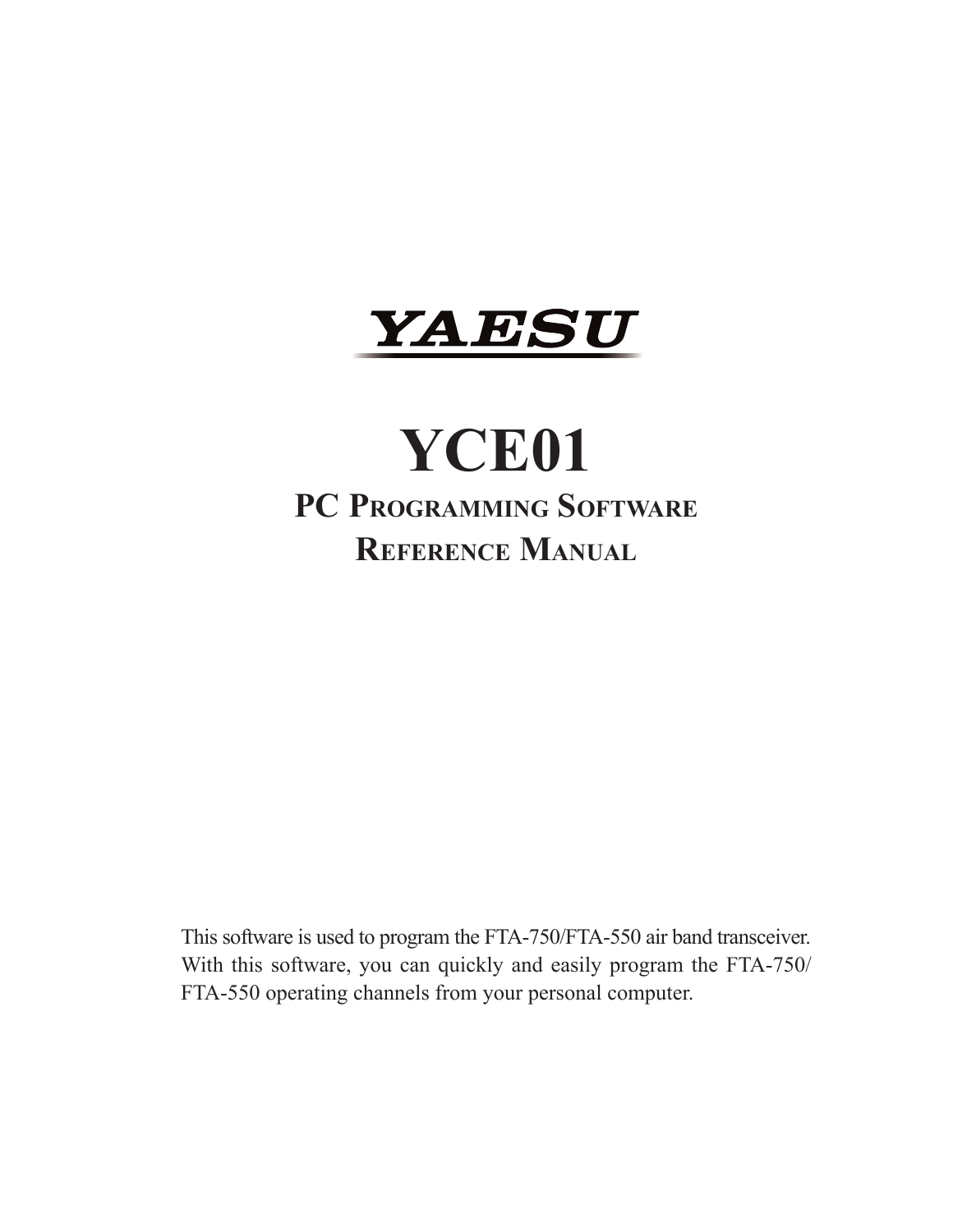

# **YCE01 PC Programming Software Reference Manual**

This software is used to program the FTA-750/FTA-550 air band transceiver. With this software, you can quickly and easily program the FTA-750/ FTA-550 operating channels from your personal computer.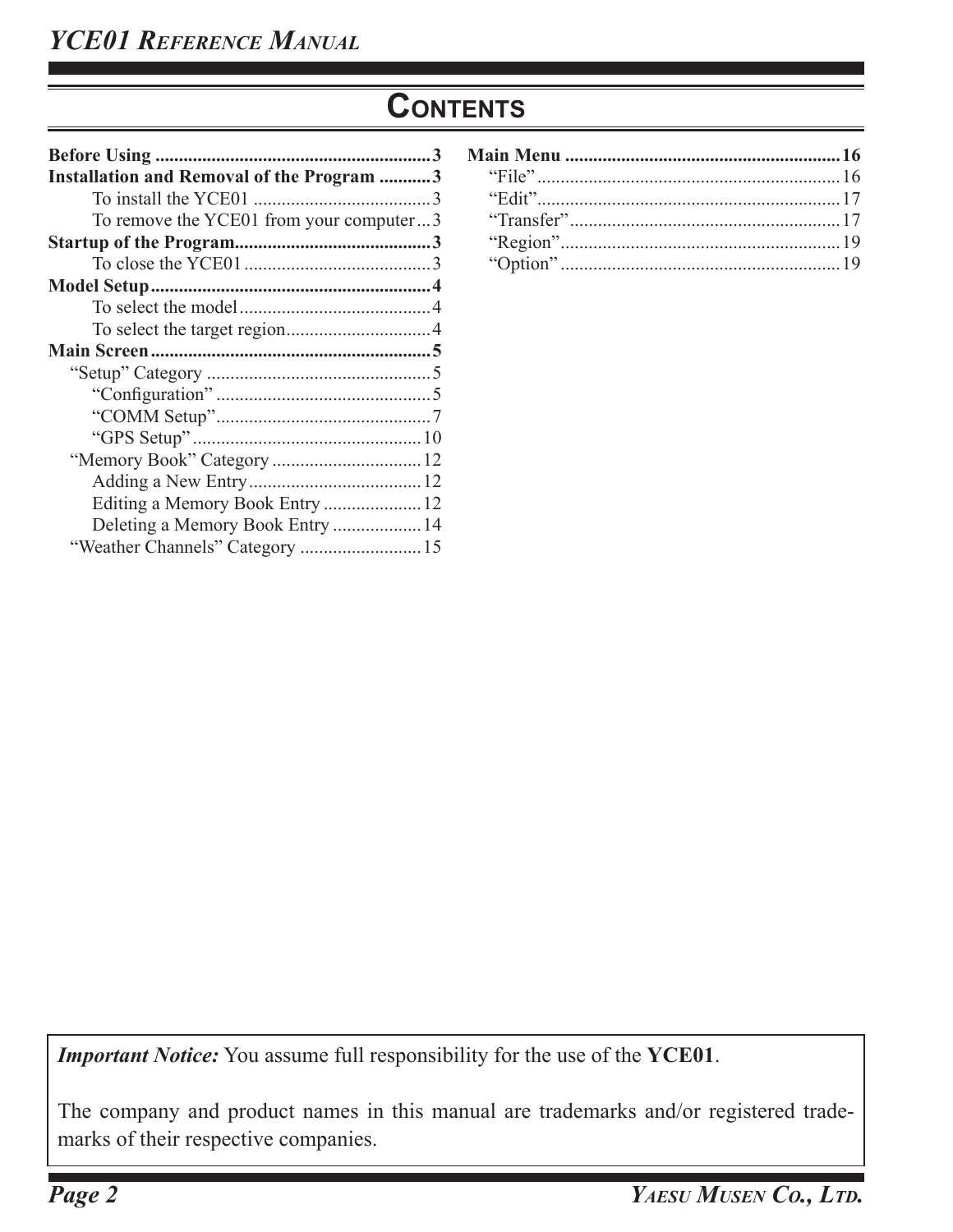# **Contents**

| <b>Installation and Removal of the Program 3</b> |
|--------------------------------------------------|
|                                                  |
| To remove the YCE01 from your computer3          |
|                                                  |
|                                                  |
|                                                  |
|                                                  |
|                                                  |
|                                                  |
|                                                  |
|                                                  |
|                                                  |
|                                                  |
|                                                  |
|                                                  |
|                                                  |
| Deleting a Memory Book Entry  14                 |
|                                                  |

*Important Notice:* You assume full responsibility for the use of the **YCE01**.

The company and product names in this manual are trademarks and/or registered trademarks of their respective companies.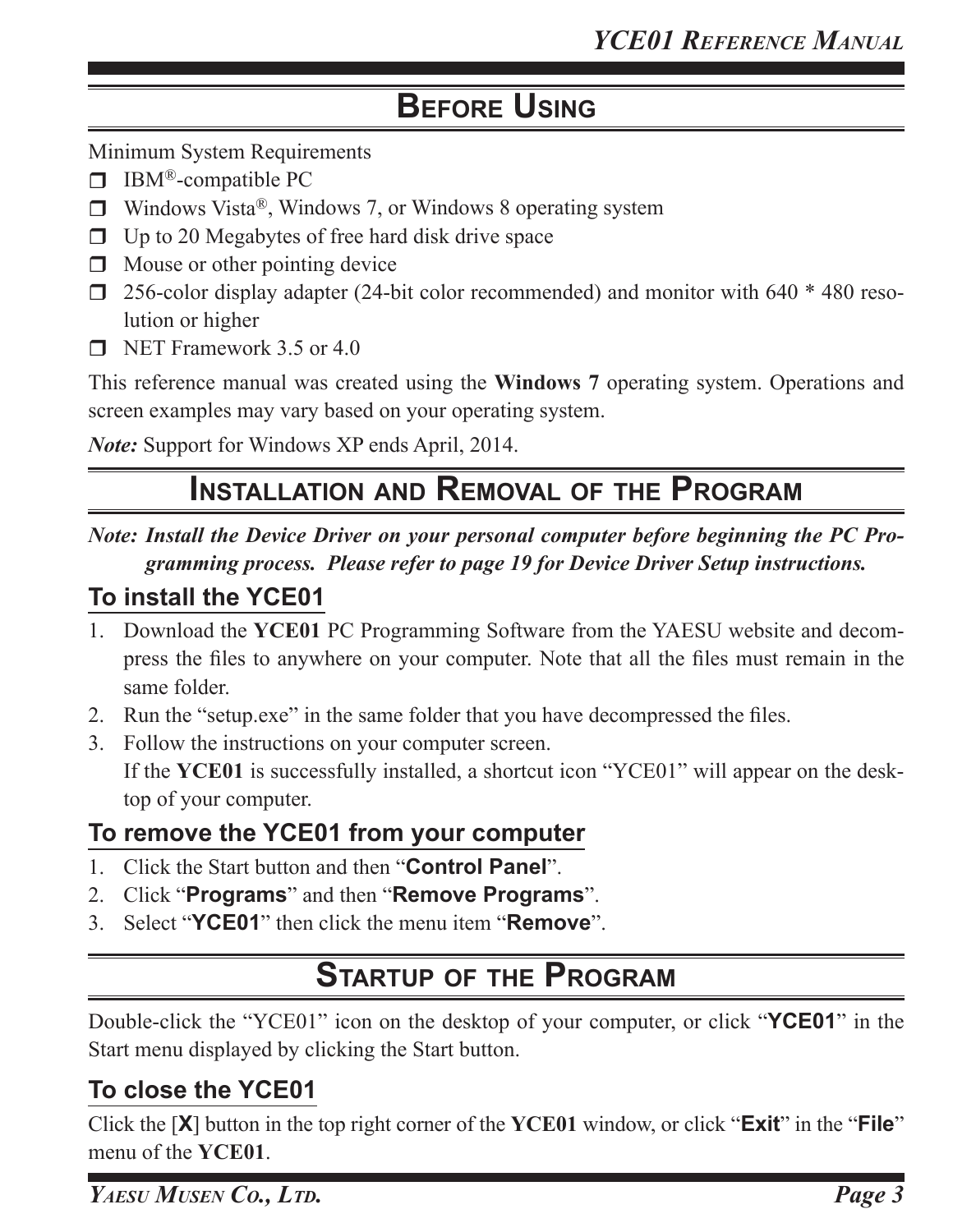# **Before Using**

Minimum System Requirements

- $\Box$  IBM®-compatible PC
- $\Box$  Windows Vista®, Windows 7, or Windows 8 operating system
- $\Box$  Up to 20 Megabytes of free hard disk drive space
- $\Box$  Mouse or other pointing device
- $\Box$  256-color display adapter (24-bit color recommended) and monitor with 640  $*$  480 resolution or higher
- $\blacksquare$  NET Framework 3.5 or 4.0

This reference manual was created using the **Windows 7** operating system. Operations and screen examples may vary based on your operating system.

*Note:* Support for Windows XP ends April, 2014.

# **Installation and Removal of the Program**

*Note: Install the Device Driver on your personal computer before beginning the PC Programming process. Please refer to page 19 for Device Driver Setup instructions.*

### **To install the YCE01**

- 1. Download the **YCE01** PC Programming Software from the YAESU website and decompress the files to anywhere on your computer. Note that all the files must remain in the same folder.
- 2. Run the "setup.exe" in the same folder that you have decompressed the files.
- 3. Follow the instructions on your computer screen. If the **YCE01** is successfully installed, a shortcut icon "YCE01" will appear on the desktop of your computer.

### **To remove the YCE01 from your computer**

- 1. Click the Start button and then "**Control Panel**".
- 2. Click "**Programs**" and then "**Remove Programs**".
- 3. Select "**YCE01**" then click the menu item "**Remove**".

# **Startup of the Program**

Double-click the "YCE01" icon on the desktop of your computer, or click "**YCE01**" in the Start menu displayed by clicking the Start button.

### **To close the YCE01**

Click the [**X**] button in the top right corner of the **YCE01** window, or click "**Exit**" in the "**File**" menu of the **YCE01**.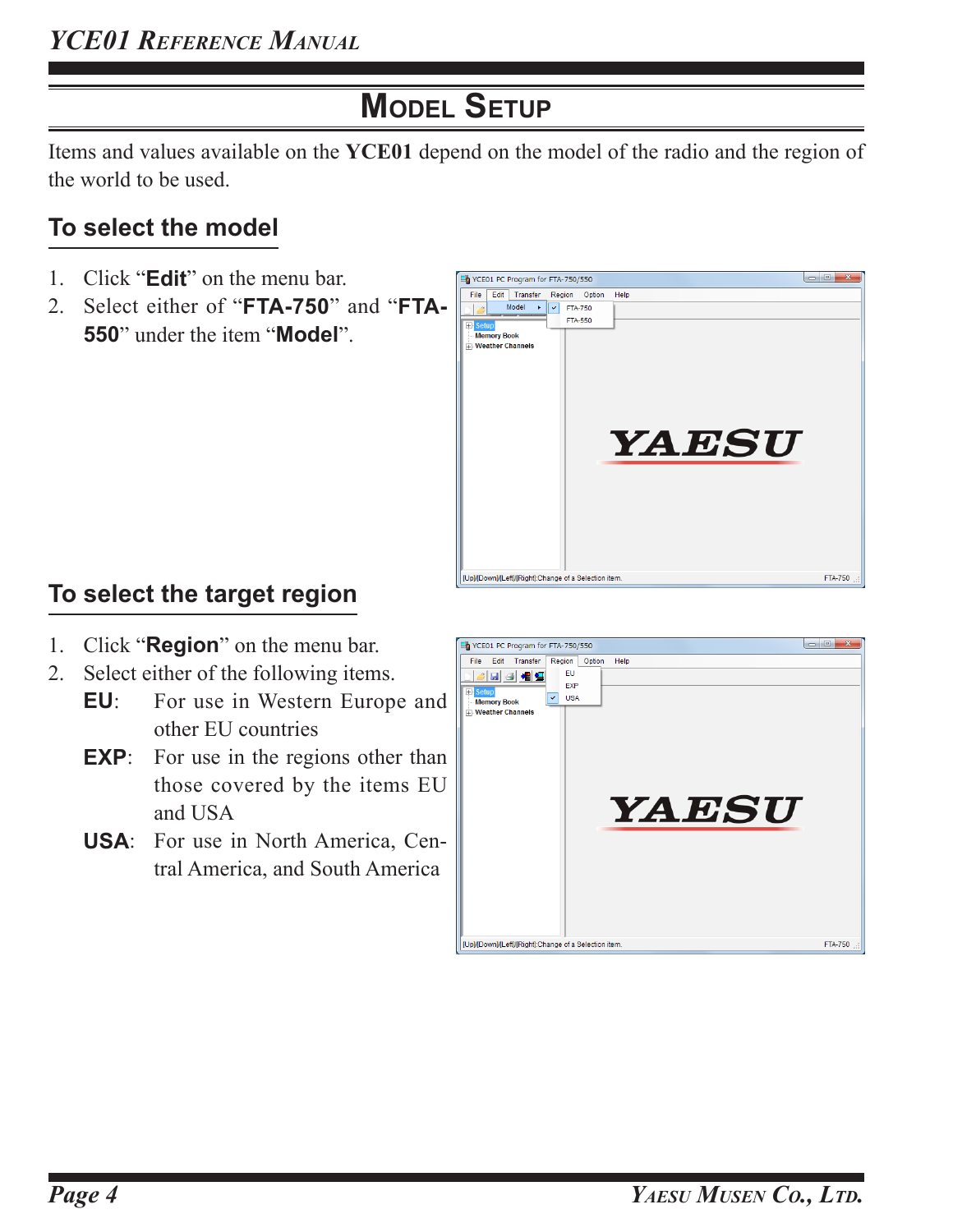# **Model Setup**

Items and values available on the **YCE01** depend on the model of the radio and the region of the world to be used.

# **To select the model**

- 1. Click "**Edit**" on the menu bar.
- 2. Select either of "**FTA-750**" and "**FTA-550**" under the item "**Model**".



# **To select the target region**

- 1. Click "**Region**" on the menu bar.
- 2. Select either of the following items.
	- **EU**: For use in Western Europe and other EU countries
	- **EXP**: For use in the regions other than those covered by the items EU and USA
	- **USA**: For use in North America, Central America, and South America

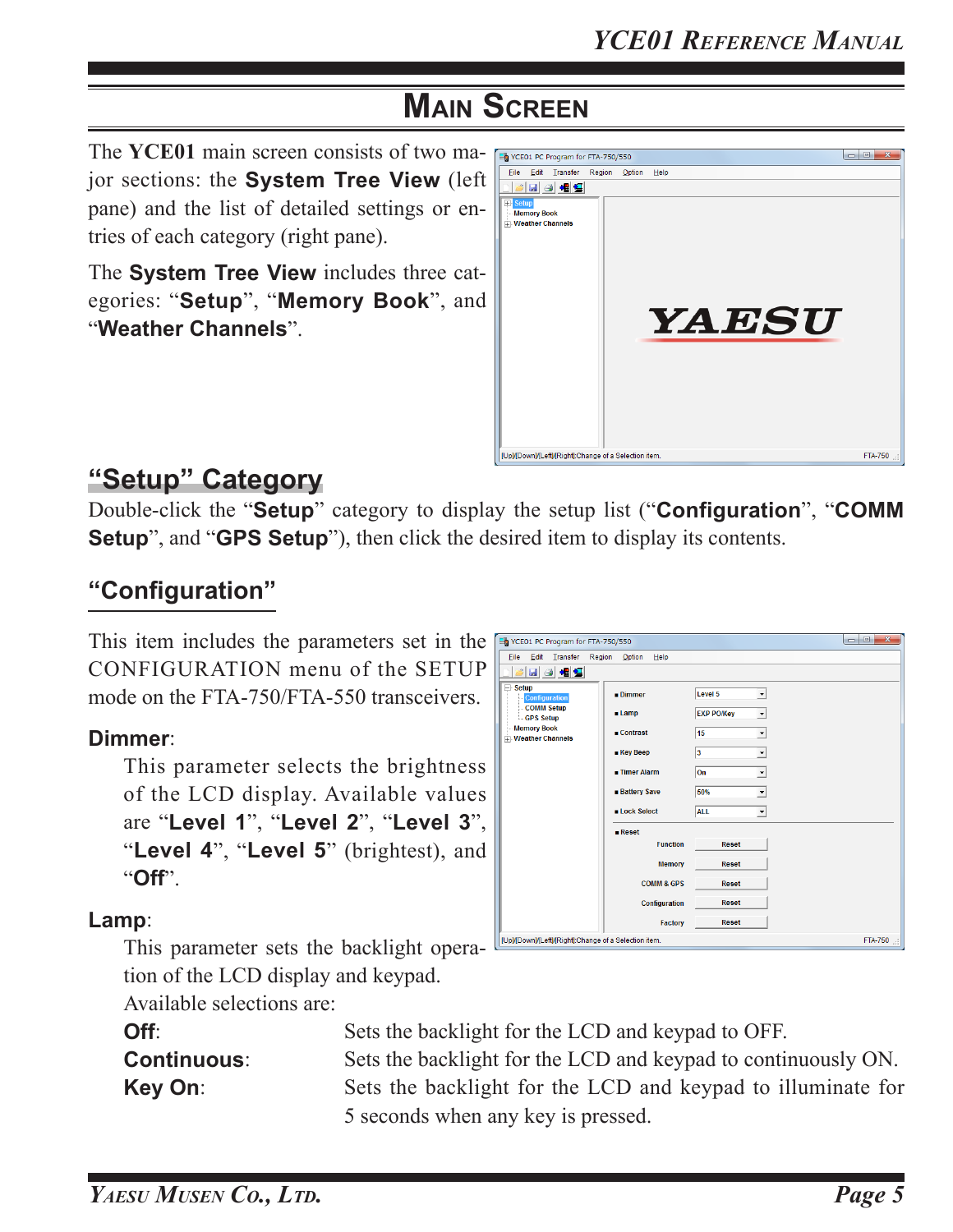The **YCE01** main screen consists of two major sections: the **System Tree View** (left pane) and the list of detailed settings or entries of each category (right pane).

The **System Tree View** includes three categories: "**Setup**", "**Memory Book**", and "**Weather Channels**".



Level 5

 $\overline{15}$ 

**EXP PO/Key** 

 $\overline{\mathbf{F}}$ 

⊡

# **"Setup" Category**

Double-click the "**Setup**" category to display the setup list ("**Configuration**", "**COMM Setup**", and "**GPS Setup**"), then click the desired item to display its contents.

### **"Configuration"**

This item includes the parameters set in the  $\frac{1}{2}$  YCE01 PC Program for FTA-750/550 CONFIGURATION menu of the SETUP mode on the FTA-750/FTA-550 transceivers.

#### **Dimmer**:

```
This parameter selects the brightness 
of the LCD display. Available values 
are "Level 1", "Level 2", "Level 3", 
"Level 4", "Level 5" (brightest), and 
"Off".
```
#### $\overline{\phantom{a}}$ .<br>....Weather Channel:  $\overline{\phantom{0}}$  $\sqrt{3}$ ■ Key Beep  $\overline{\phantom{0}}$  $\sqrt{2n}$ **Battery Save** 50%  $\overline{\mathbf{r}}$  $\overline{A11}$  $\overline{\phantom{0}}$ **ELock Select**  $R$ eset **Function** Reset Memory Reset **COMM & GPS Reset Reset** Configuration Reset Facton [Up]/[Down]/[Left]/[Right]:Change of a Selection item

 $\blacksquare$  Dimmer

 $\blacksquare$  Lamp

 $\blacksquare$  Contrast

Eile Edit Transfer Region Option Help

 $|\mathcal{B}|$  and  $|\mathcal{B}|$  and  $|\mathcal{B}|$ 

**Configuration**<br>COMM Setup

GPS Setup

**Memory Book** 

 $\Box$  Setup

#### **Lamp**:

This parameter sets the backlight operation of the LCD display and keypad.

Available selections are:

**Off**: Sets the backlight for the LCD and keypad to OFF. **Continuous**: Sets the backlight for the LCD and keypad to continuously ON. **Key On:** Sets the backlight for the LCD and keypad to illuminate for 5 seconds when any key is pressed.

FTA-750

 $\begin{array}{|c|c|c|c|c|}\hline \multicolumn{1}{|c|}{\quad \ \ \, } & X \\ \hline \multicolumn{1}{|c|}{\quad \ \ } & & X \\ \hline \end{array}$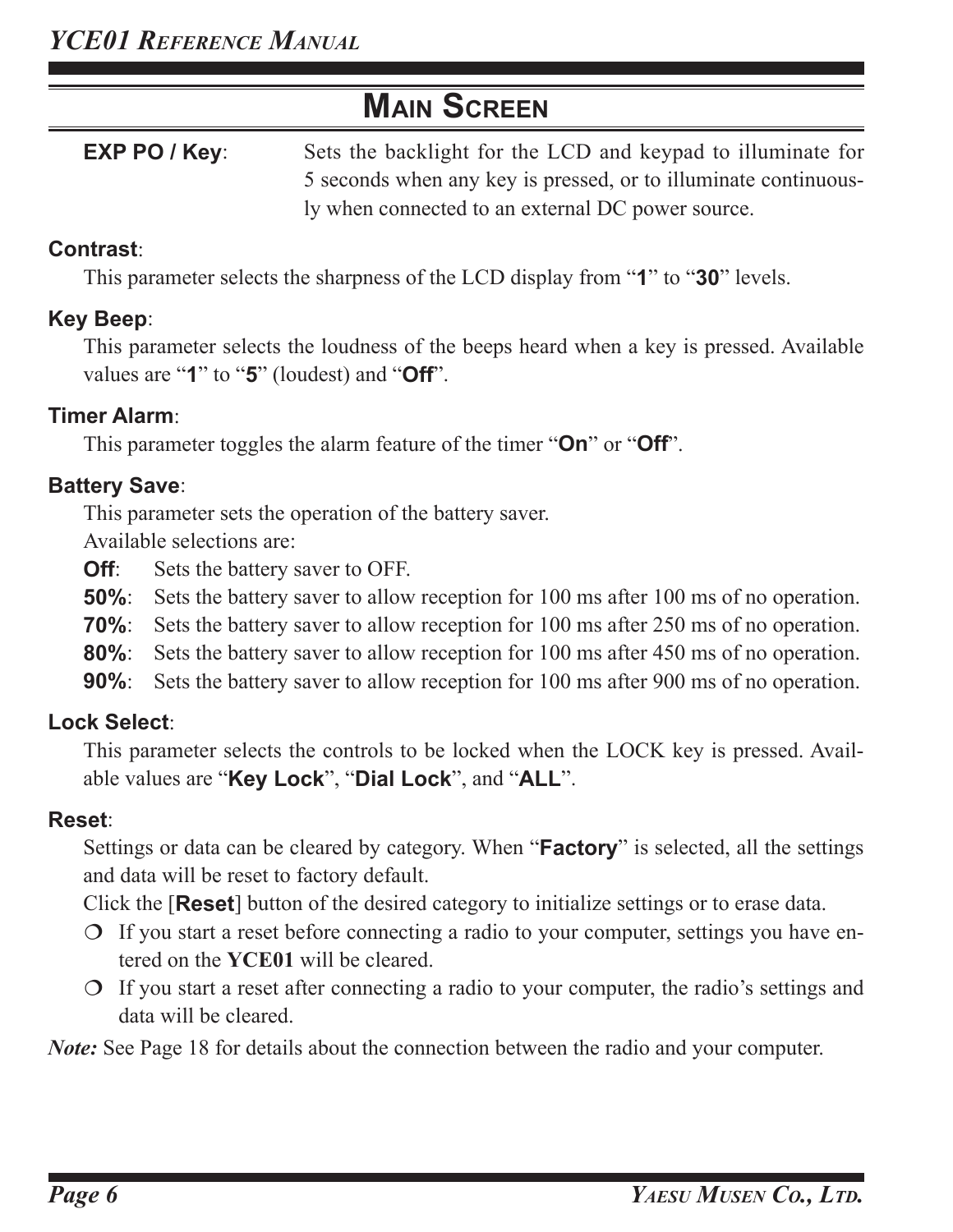**EXP PO / Key:** Sets the backlight for the LCD and keypad to illuminate for 5 seconds when any key is pressed, or to illuminate continuously when connected to an external DC power source.

#### **Contrast**:

This parameter selects the sharpness of the LCD display from "**1**" to "**30**" levels.

#### **Key Beep**:

This parameter selects the loudness of the beeps heard when a key is pressed. Available values are "**1**" to "**5**" (loudest) and "**Off**".

#### **Timer Alarm**:

This parameter toggles the alarm feature of the timer "**On**" or "**Off**".

### **Battery Save**:

This parameter sets the operation of the battery saver.

Available selections are:

- **Off**: Sets the battery saver to OFF.
- **50%**: Sets the battery saver to allow reception for 100 ms after 100 ms of no operation.
- **70%**: Sets the battery saver to allow reception for 100 ms after 250 ms of no operation.
- **80%**: Sets the battery saver to allow reception for 100 ms after 450 ms of no operation.
- **90%**: Sets the battery saver to allow reception for 100 ms after 900 ms of no operation.

### **Lock Select**:

This parameter selects the controls to be locked when the LOCK key is pressed. Available values are "**Key Lock**", "**Dial Lock**", and "**ALL**".

### **Reset**:

Settings or data can be cleared by category. When "**Factory**" is selected, all the settings and data will be reset to factory default.

Click the [**Reset**] button of the desired category to initialize settings or to erase data.

- $\circ$  If you start a reset before connecting a radio to your computer, settings you have entered on the **YCE01** will be cleared.
- $\circ$  If you start a reset after connecting a radio to your computer, the radio's settings and data will be cleared.

*Note:* See Page 18 for details about the connection between the radio and your computer.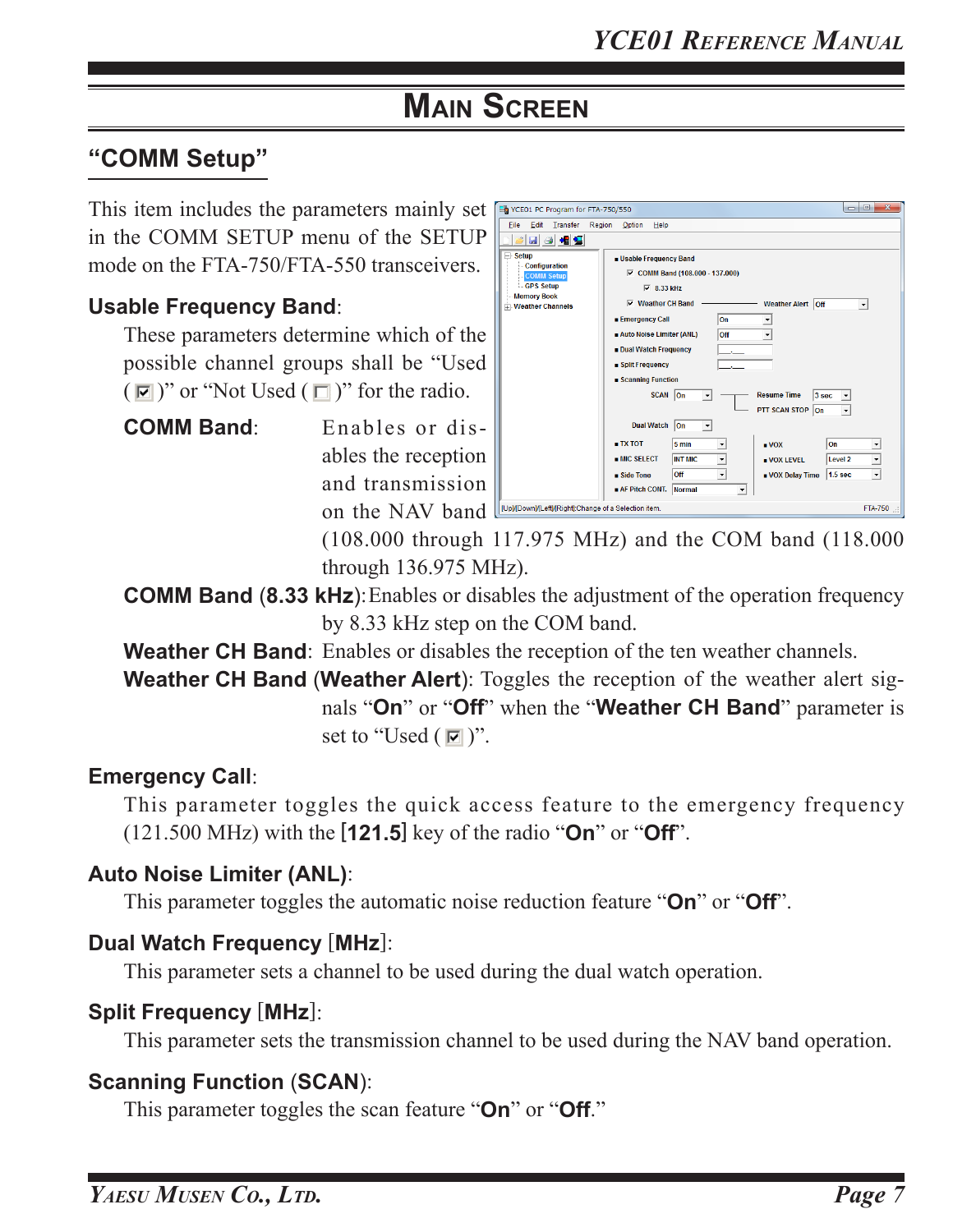### **"COMM Setup"**

This item includes the parameters mainly set in the COMM SETUP menu of the SETUP mode on the FTA-750/FTA-550 transceivers.

#### **Usable Frequency Band**:

These parameters determine which of the possible channel groups shall be "Used  $(\nabla)$ " or "Not Used  $(\nabla)$ " for the radio.

**COMM Band**: Enables or disables the reception and transmission on the NAV band

| YCE01 PC Program for FTA-750/550                                                                                          |                                                                                                                                                                                                                                                              | $\mathbf{x}$<br>$\qquad \qquad \qquad \Box$ |
|---------------------------------------------------------------------------------------------------------------------------|--------------------------------------------------------------------------------------------------------------------------------------------------------------------------------------------------------------------------------------------------------------|---------------------------------------------|
| File<br>Edit<br>Transfer<br>Region                                                                                        | Option<br>Help                                                                                                                                                                                                                                               |                                             |
| 日相目<br>$\blacksquare$                                                                                                     |                                                                                                                                                                                                                                                              |                                             |
| $\Box$ Setup<br>Configuration<br><b>COMM Setup</b><br><b>GPS Setup</b><br><b>Memory Book</b><br><b>T</b> Weather Channels | <b>u</b> Usable Frequency Band<br>$\nabla$ COMM Band (108.000 - 137.000)<br>$\overline{v}$ 8.33 kHz<br>$\nabla$ Weather CH Band<br>Weather Alert   Off<br><b>Emergency Call</b><br>On<br>Auto Noise Limiter (ANL)<br>Off<br>▼<br><b>Dual Watch Frequency</b> | ▾                                           |
|                                                                                                                           | ■ Split Frequency<br>Scanning Function                                                                                                                                                                                                                       |                                             |
|                                                                                                                           | SCAN On<br><b>Resume Time</b><br>3 <sub>sec</sub><br><b>PTT SCAN STOP</b><br>On                                                                                                                                                                              |                                             |
|                                                                                                                           | <b>Dual Watch</b><br>lon<br>$\blacktriangledown$                                                                                                                                                                                                             |                                             |
|                                                                                                                           | $\blacksquare$ TX TOT<br>5 min<br>On<br>$\blacksquare$ VOX<br><b>MIC SELECT</b><br><b>INT MIC</b><br>Level <sub>2</sub><br><b>UVOX LEVEL</b><br>▼                                                                                                            | $\overline{\phantom{a}}$                    |
|                                                                                                                           | Off<br>1.5 <sub>sec</sub><br>$\blacksquare$ Side Tone<br>■ VOX Delay Time<br>$\blacktriangledown$<br>AF Pitch CONT.<br>Normal<br>$\blacktriangledown$                                                                                                        | $\blacktriangledown$                        |
| [Up]/[Down]/[Left]/[Right]:Change of a Selection item.                                                                    |                                                                                                                                                                                                                                                              | <b>FTA-750</b>                              |

(108.000 through 117.975 MHz) and the COM band (118.000 through 136.975 MHz).

**COMM Band (8.33 kHz):** Enables or disables the adjustment of the operation frequency by 8.33 kHz step on the COM band.

**Weather CH Band**: Enables or disables the reception of the ten weather channels.

**Weather CH Band** (**Weather Alert**): Toggles the reception of the weather alert signals "**On**" or "**Off**" when the "**Weather CH Band**" parameter is set to "Used  $(\blacksquare)$ ".

#### **Emergency Call**:

This parameter toggles the quick access feature to the emergency frequency (121.500 MHz) with the [**121.5**] key of the radio "**On**" or "**Off**".

#### **Auto Noise Limiter (ANL)**:

This parameter toggles the automatic noise reduction feature "**On**" or "**Off**".

#### **Dual Watch Frequency** [**MHz**]:

This parameter sets a channel to be used during the dual watch operation.

#### **Split Frequency** [**MHz**]:

This parameter sets the transmission channel to be used during the NAV band operation.

#### **Scanning Function** (**SCAN**):

This parameter toggles the scan feature "**On**" or "**Off**."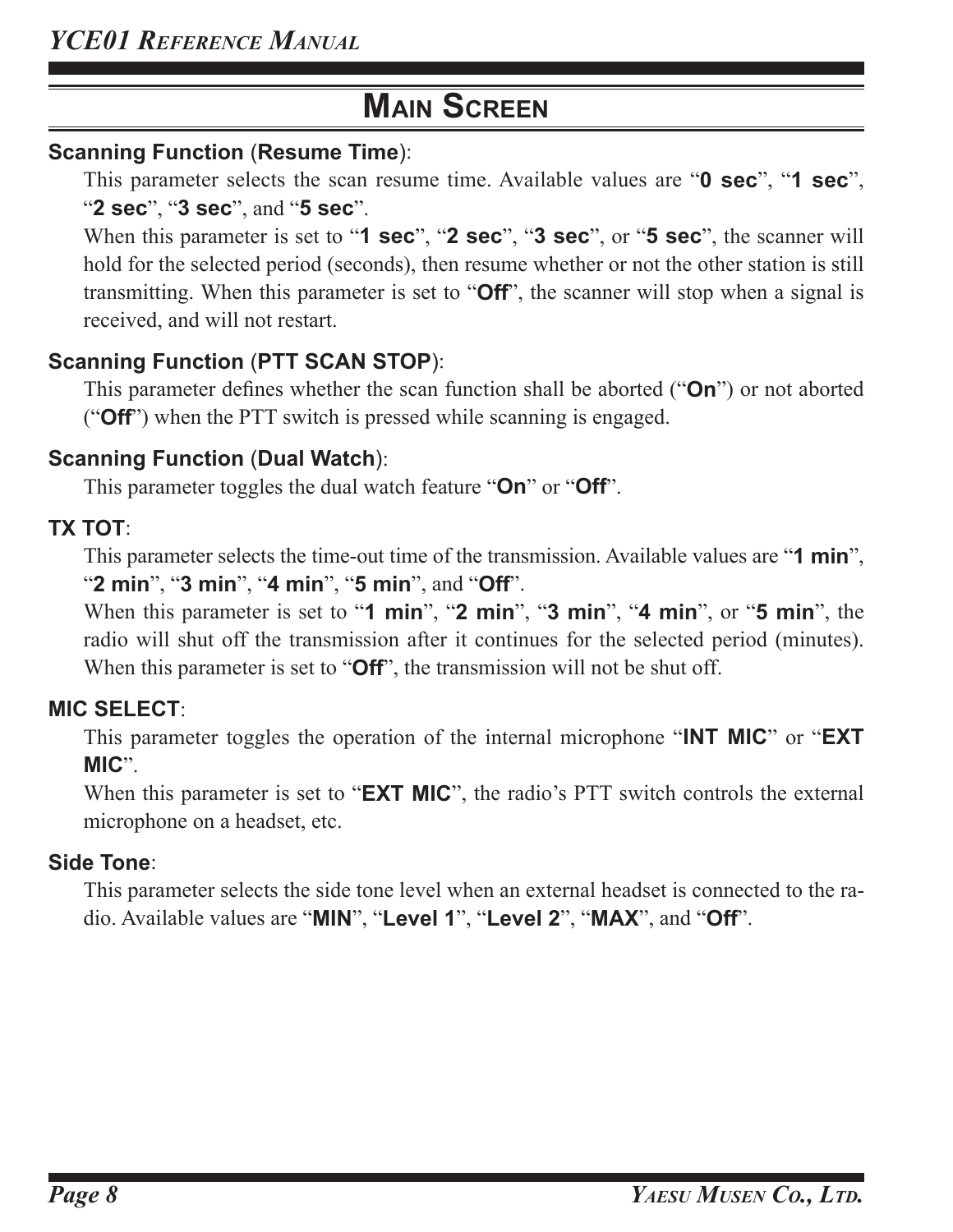#### **Scanning Function** (**Resume Time**):

This parameter selects the scan resume time. Available values are "**0 sec**", "**1 sec**", "**2 sec**", "**3 sec**", and "**5 sec**".

When this parameter is set to "**1 sec**", "**2 sec**", "**3 sec**", or "**5 sec**", the scanner will hold for the selected period (seconds), then resume whether or not the other station is still transmitting. When this parameter is set to "**Off**", the scanner will stop when a signal is received, and will not restart.

### **Scanning Function** (**PTT SCAN STOP**):

This parameter defines whether the scan function shall be aborted ("**On**") or not aborted ("**Off**") when the PTT switch is pressed while scanning is engaged.

### **Scanning Function** (**Dual Watch**):

This parameter toggles the dual watch feature "**On**" or "**Off**".

### **TX TOT**:

This parameter selects the time-out time of the transmission. Available values are "**1 min**", "**2 min**", "**3 min**", "**4 min**", "**5 min**", and "**Off**".

When this parameter is set to "**1 min**", "**2 min**", "**3 min**", "**4 min**", or "**5 min**", the radio will shut off the transmission after it continues for the selected period (minutes). When this parameter is set to "**Off**", the transmission will not be shut off.

### **MIC SELECT**:

This parameter toggles the operation of the internal microphone "**INT MIC**" or "**EXT MIC**".

When this parameter is set to "**EXT MIC**", the radio's PTT switch controls the external microphone on a headset, etc.

#### **Side Tone**:

This parameter selects the side tone level when an external headset is connected to the radio. Available values are "**MIN**", "**Level 1**", "**Level 2**", "**MAX**", and "**Off**".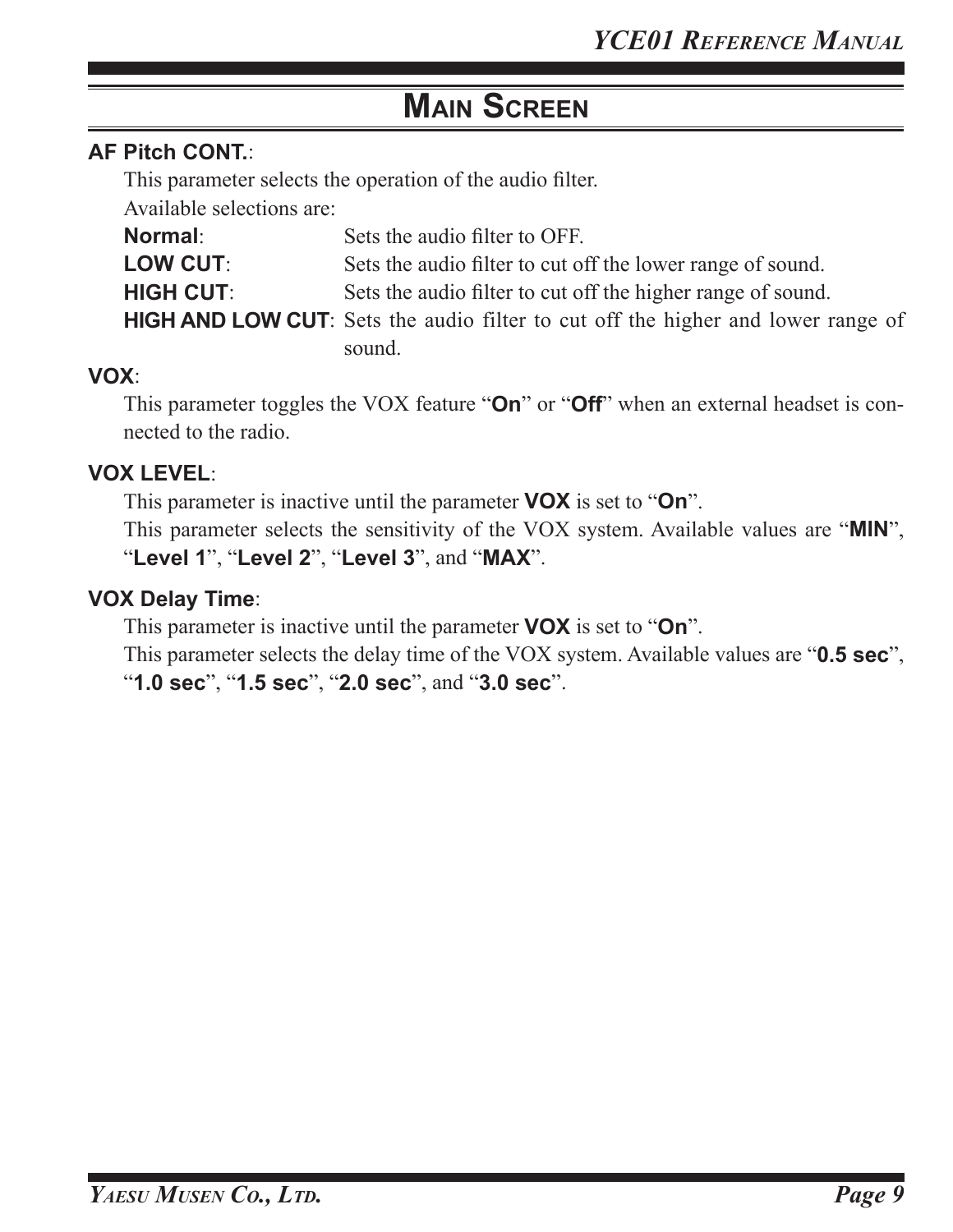#### **AF Pitch CONT.**:

This parameter selects the operation of the audio filter.

Available selections are:

| <b>Normal:</b>   | Sets the audio filter to OFF.                                                            |
|------------------|------------------------------------------------------------------------------------------|
| <b>LOW CUT:</b>  | Sets the audio filter to cut off the lower range of sound.                               |
| <b>HIGH CUT:</b> | Sets the audio filter to cut off the higher range of sound.                              |
|                  | <b>HIGH AND LOW CUT</b> : Sets the audio filter to cut off the higher and lower range of |
|                  | sound.                                                                                   |

#### **VOX**:

This parameter toggles the VOX feature "**On**" or "**Off**" when an external headset is connected to the radio.

#### **VOX LEVEL**:

This parameter is inactive until the parameter **VOX** is set to "**On**".

This parameter selects the sensitivity of the VOX system. Available values are "**MIN**", "**Level 1**", "**Level 2**", "**Level 3**", and "**MAX**".

#### **VOX Delay Time**:

This parameter is inactive until the parameter **VOX** is set to "**On**".

This parameter selects the delay time of the VOX system. Available values are "**0.5 sec**", "**1.0 sec**", "**1.5 sec**", "**2.0 sec**", and "**3.0 sec**".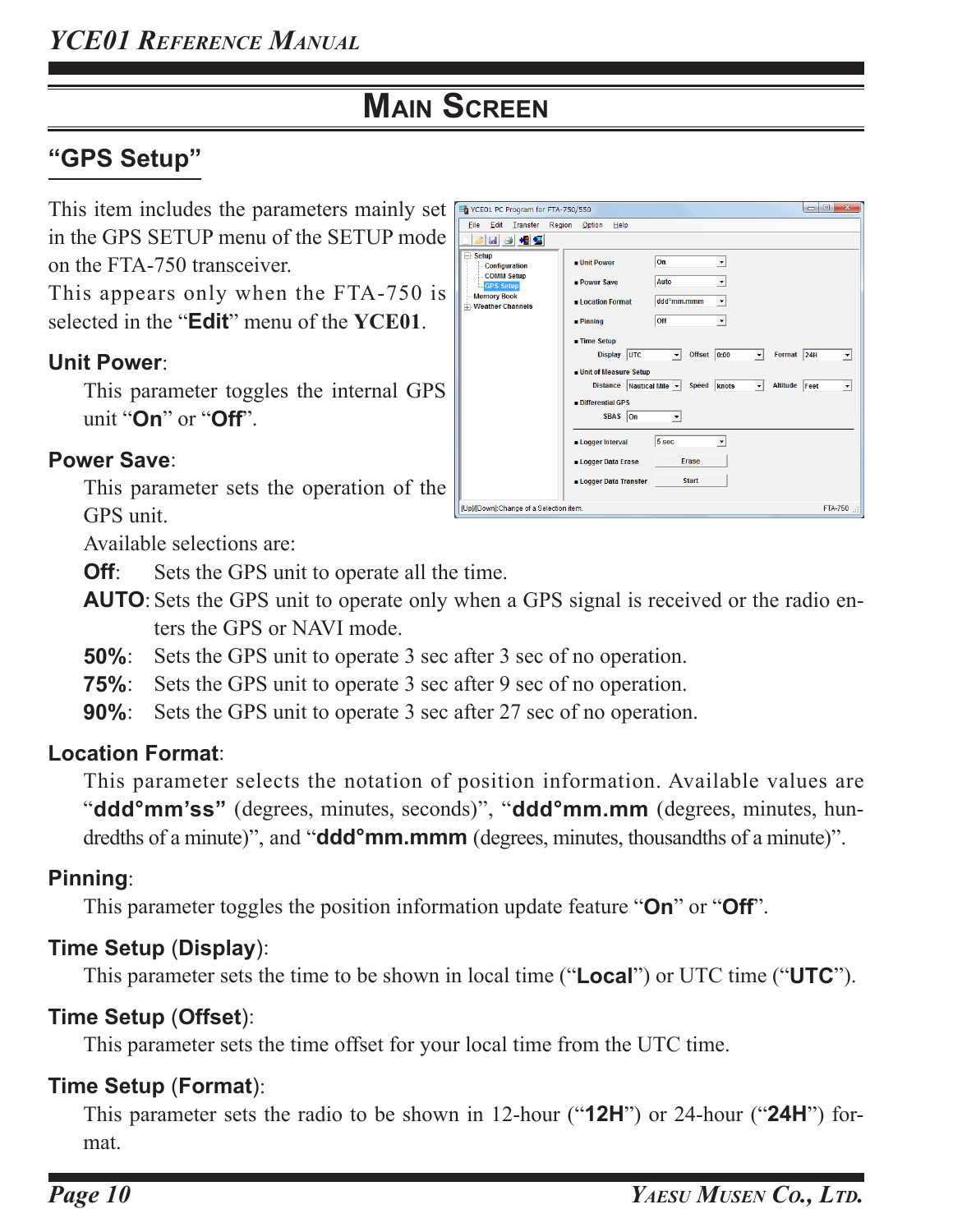# **"GPS Setup"**

This item includes the parameters mainly set in the GPS SETUP menu of the SETUP mode on the FTA-750 transceiver.

This appears only when the FTA-750 is selected in the "**Edit**" menu of the **YCE01**.

### **Unit Power**:

This parameter toggles the internal GPS unit "**On**" or "**Off**".

#### **Power Save**:

This parameter sets the operation of the GPS unit.

| Et YCE01 PC Program for FTA-750/550                                           |                                                                                                                     |                                                                           |                                          | $\begin{array}{c c c c c c} \hline \multicolumn{1}{c }{\textbf{0}} & \multicolumn{1}{c }{\textbf{0}} \end{array}$<br>$\mathbf{x}$ |
|-------------------------------------------------------------------------------|---------------------------------------------------------------------------------------------------------------------|---------------------------------------------------------------------------|------------------------------------------|-----------------------------------------------------------------------------------------------------------------------------------|
| Edit<br>Transfer<br>File                                                      | Region<br>Option<br>Help                                                                                            |                                                                           |                                          |                                                                                                                                   |
| 日日相日                                                                          |                                                                                                                     |                                                                           |                                          |                                                                                                                                   |
| $\Box$ Setup<br><b>Configuration</b><br><b>COMM Setup</b><br><b>GPS Setup</b> | <b>u</b> Unit Power<br><b>Power Save</b>                                                                            | On<br>$\blacktriangledown$<br><b>Auto</b>                                 |                                          |                                                                                                                                   |
| <b>Memory Book</b><br><b>Weather Channels</b>                                 | <b>ELocation Format</b>                                                                                             | ddd <sup>o</sup> mm.mmm<br>۰                                              |                                          |                                                                                                                                   |
|                                                                               | $\blacksquare$ Pinning                                                                                              | Off<br>$\blacktriangledown$                                               |                                          |                                                                                                                                   |
|                                                                               | ■ Time Setup<br><b>Display</b><br><b>UTC</b><br><b>Unit of Measure Setup</b><br><b>Distance</b><br>Differential GPS | Offset $ 0:00$<br>$\vert \cdot \vert$<br>Nautical Mile v<br>Speed   knots | $\mathbf{r}$<br>$\overline{\phantom{a}}$ | Format 24H<br><b>Altitude</b><br>Feet                                                                                             |
|                                                                               | SBAS On                                                                                                             |                                                                           |                                          |                                                                                                                                   |
|                                                                               | <b>Logger Interval</b>                                                                                              | 5 sec                                                                     |                                          |                                                                                                                                   |
|                                                                               | <b>Logger Data Erase</b>                                                                                            | Erase                                                                     |                                          |                                                                                                                                   |
|                                                                               | Logger Data Transfer                                                                                                | <b>Start</b>                                                              |                                          |                                                                                                                                   |
| [Up]/[Down]:Change of a Selection item.                                       |                                                                                                                     |                                                                           |                                          | FTA-750                                                                                                                           |

Available selections are:

- **Off**: Sets the GPS unit to operate all the time.
- **AUTO**: Sets the GPS unit to operate only when a GPS signal is received or the radio enters the GPS or NAVI mode.
- **50%**: Sets the GPS unit to operate 3 sec after 3 sec of no operation.
- **75%**: Sets the GPS unit to operate 3 sec after 9 sec of no operation.
- **90%**: Sets the GPS unit to operate 3 sec after 27 sec of no operation.

#### **Location Format**:

This parameter selects the notation of position information. Available values are "**ddd°mm'ss"** (degrees, minutes, seconds)", "**ddd°mm.mm** (degrees, minutes, hundredths of a minute)", and "**ddd°mm.mmm** (degrees, minutes, thousandths of a minute)".

### **Pinning**:

This parameter toggles the position information update feature "**On**" or "**Off**".

### **Time Setup** (**Display**):

This parameter sets the time to be shown in local time ("**Local**") or UTC time ("**UTC**").

### **Time Setup** (**Offset**):

This parameter sets the time offset for your local time from the UTC time.

### **Time Setup** (**Format**):

This parameter sets the radio to be shown in 12-hour ("**12H**") or 24-hour ("**24H**") format.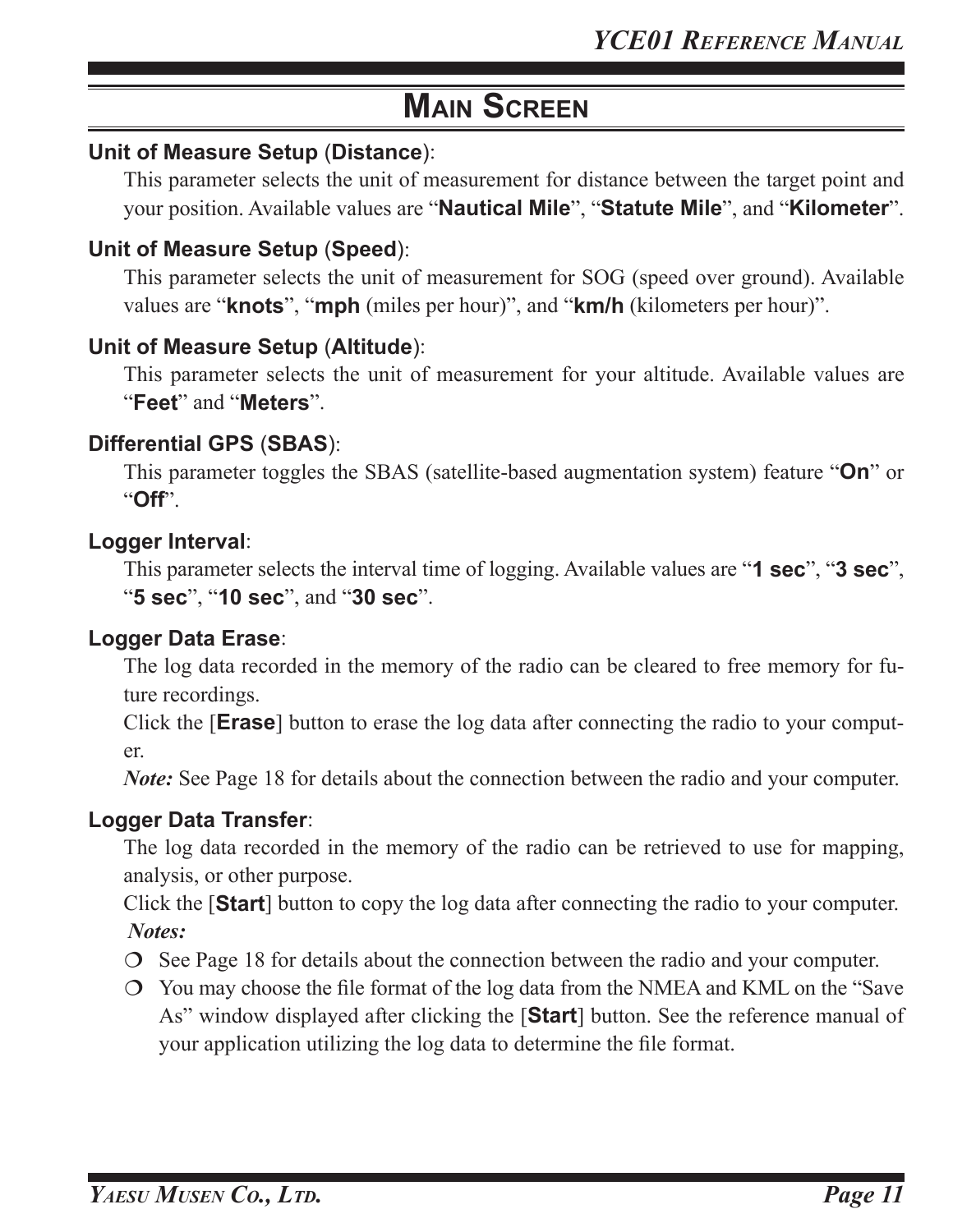#### **Unit of Measure Setup** (**Distance**):

This parameter selects the unit of measurement for distance between the target point and your position. Available values are "**Nautical Mile**", "**Statute Mile**", and "**Kilometer**".

#### **Unit of Measure Setup** (**Speed**):

This parameter selects the unit of measurement for SOG (speed over ground). Available values are "**knots**", "**mph** (miles per hour)", and "**km/h** (kilometers per hour)".

#### **Unit of Measure Setup** (**Altitude**):

This parameter selects the unit of measurement for your altitude. Available values are "**Feet**" and "**Meters**".

#### **Differential GPS** (**SBAS**):

This parameter toggles the SBAS (satellite-based augmentation system) feature "**On**" or "**Off**".

#### **Logger Interval**:

This parameter selects the interval time of logging. Available values are "**1 sec**", "**3 sec**", "**5 sec**", "**10 sec**", and "**30 sec**".

#### **Logger Data Erase**:

The log data recorded in the memory of the radio can be cleared to free memory for future recordings.

Click the [**Erase**] button to erase the log data after connecting the radio to your computer.

*Note:* See Page 18 for details about the connection between the radio and your computer.

#### **Logger Data Transfer**:

The log data recorded in the memory of the radio can be retrieved to use for mapping, analysis, or other purpose.

Click the [**Start**] button to copy the log data after connecting the radio to your computer. *Notes:*

- $\circ$  See Page 18 for details about the connection between the radio and your computer.
- You may choose the file format of the log data from the NMEA and KML on the "Save As" window displayed after clicking the [**Start**] button. See the reference manual of your application utilizing the log data to determine the file format.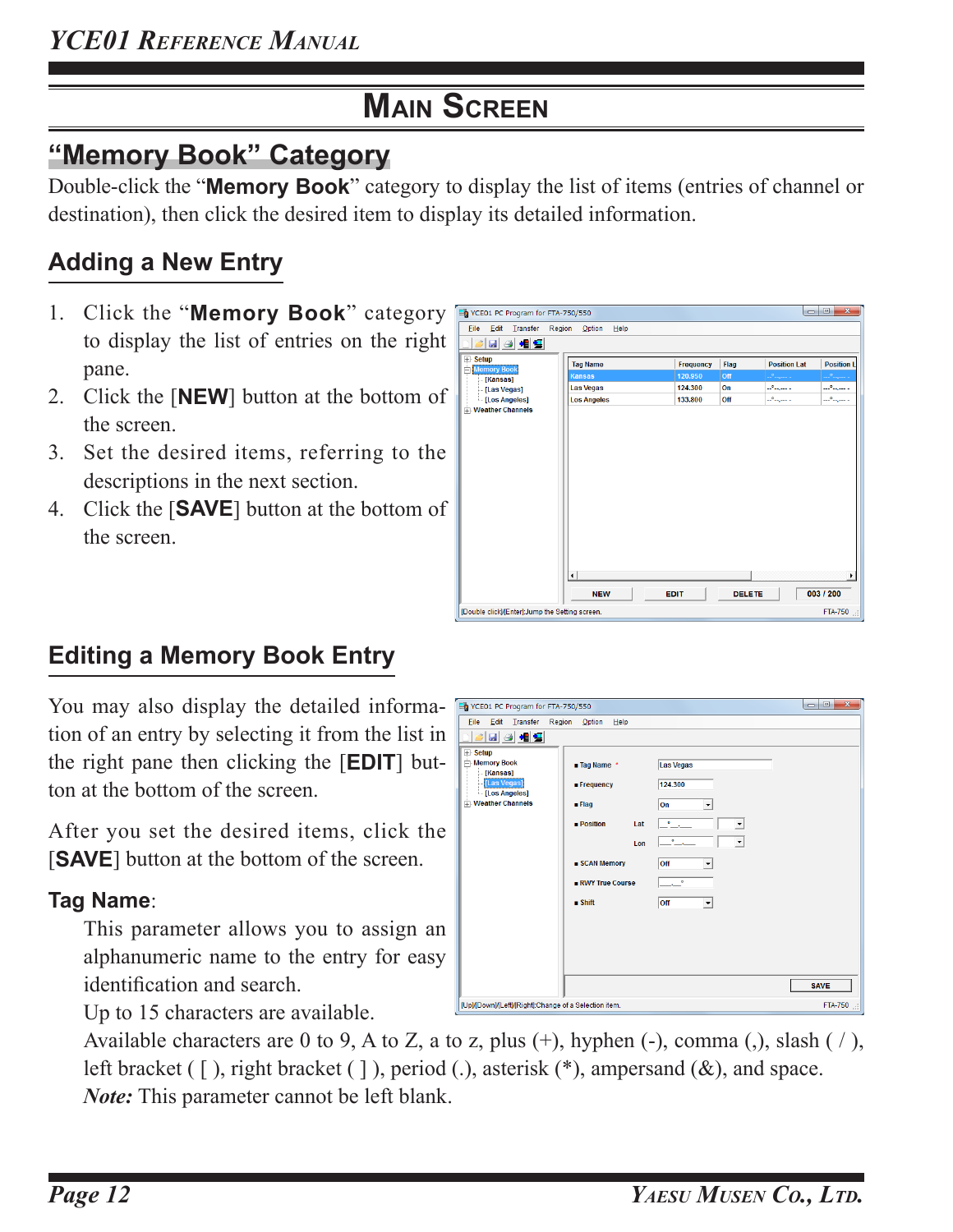# **"Memory Book" Category**

Double-click the "**Memory Book**" category to display the list of items (entries of channel or destination), then click the desired item to display its detailed information.

# **Adding a New Entry**

- 1. Click the "**Memory Book**" category to display the list of entries on the right pane.
- 2. Click the [**NEW**] button at the bottom of the screen.
- 3. Set the desired items, referring to the descriptions in the next section.
- 4. Click the [**SAVE**] button at the bottom of the screen.

| YCE01 PC Program for FTA-750/550                |                    |                  |               | $\blacksquare$      | $\Box$<br>$\mathbf{x}$ |
|-------------------------------------------------|--------------------|------------------|---------------|---------------------|------------------------|
| Edit<br>Transfer<br>Region<br>Eile              | Option<br>Help     |                  |               |                     |                        |
| 日日相日<br>۵                                       |                    |                  |               |                     |                        |
| E Setup<br><b>Memory Book</b>                   | <b>Tag Name</b>    | <b>Frequency</b> | Flag          | <b>Position Lat</b> | <b>Position I</b>      |
| F<br>[Kansas]                                   | <b>Kansas</b>      | 120.950          | Off           | بالسيماء            | <u>in Alberta L</u>    |
| -[Las Vegas]                                    | <b>Las Vegas</b>   | 124.300          | On            | بالسهدات            | بالسهافية              |
| [Los Angeles]<br><b>Weather Channels</b>        | <b>Los Angeles</b> | 133.800          | Off           | Lo <sub>mann</sub>  | بالتبهامية             |
|                                                 |                    |                  |               |                     |                        |
|                                                 |                    |                  |               |                     |                        |
|                                                 |                    |                  |               |                     |                        |
|                                                 |                    |                  |               |                     |                        |
|                                                 |                    |                  |               |                     |                        |
|                                                 |                    |                  |               |                     |                        |
|                                                 |                    |                  |               |                     |                        |
|                                                 |                    |                  |               |                     |                        |
|                                                 |                    |                  |               |                     |                        |
|                                                 |                    |                  |               |                     |                        |
|                                                 |                    |                  |               |                     | k                      |
|                                                 | <b>NEW</b>         | EDIT             | <b>DELETE</b> |                     | 003 / 200              |
| [Double click]/[Enter]:Jump the Setting screen. |                    |                  |               |                     | FTA-750                |

# **Editing a Memory Book Entry**

You may also display the detailed informa- Eb VCEO1 PC Program for FTA-750/550 tion of an entry by selecting it from the list in the right pane then clicking the [**EDIT**] button at the bottom of the screen.

After you set the desired items, click the [**SAVE**] button at the bottom of the screen.

### **Tag Name**:

This parameter allows you to assign an alphanumeric name to the entry for easy identification and search.

Up to 15 characters are available.

 $\Box$  $\Box$ File Edit Transfer Region Option Help **E** Setup .<br>≕. Memory Book Las Vegas ■ Tag Name [Kansas] 124,300 [Los Angeles] **Weather Chann**  $\sqrt{2n}$  $\overline{\phantom{0}}$ - Flan  $\overline{\phantom{a}}$  $\blacksquare$  Position Lat  $\vert \cdot \vert$  $\overline{\phantom{a}}$ Lon loff  $\overline{\cdot}$ loff  $\overline{\phantom{a}}$ **SAVE ETA-750** [Up]/[Down]/[Left]/[Right]:Change of a Selection item

Available characters are 0 to 9, A to Z, a to z, plus (+), hyphen (-), comma (,), slash ( / ), left bracket ( [ ), right bracket ( ] ), period ( ), asterisk (\*), ampersand (&), and space. *Note:* This parameter cannot be left blank.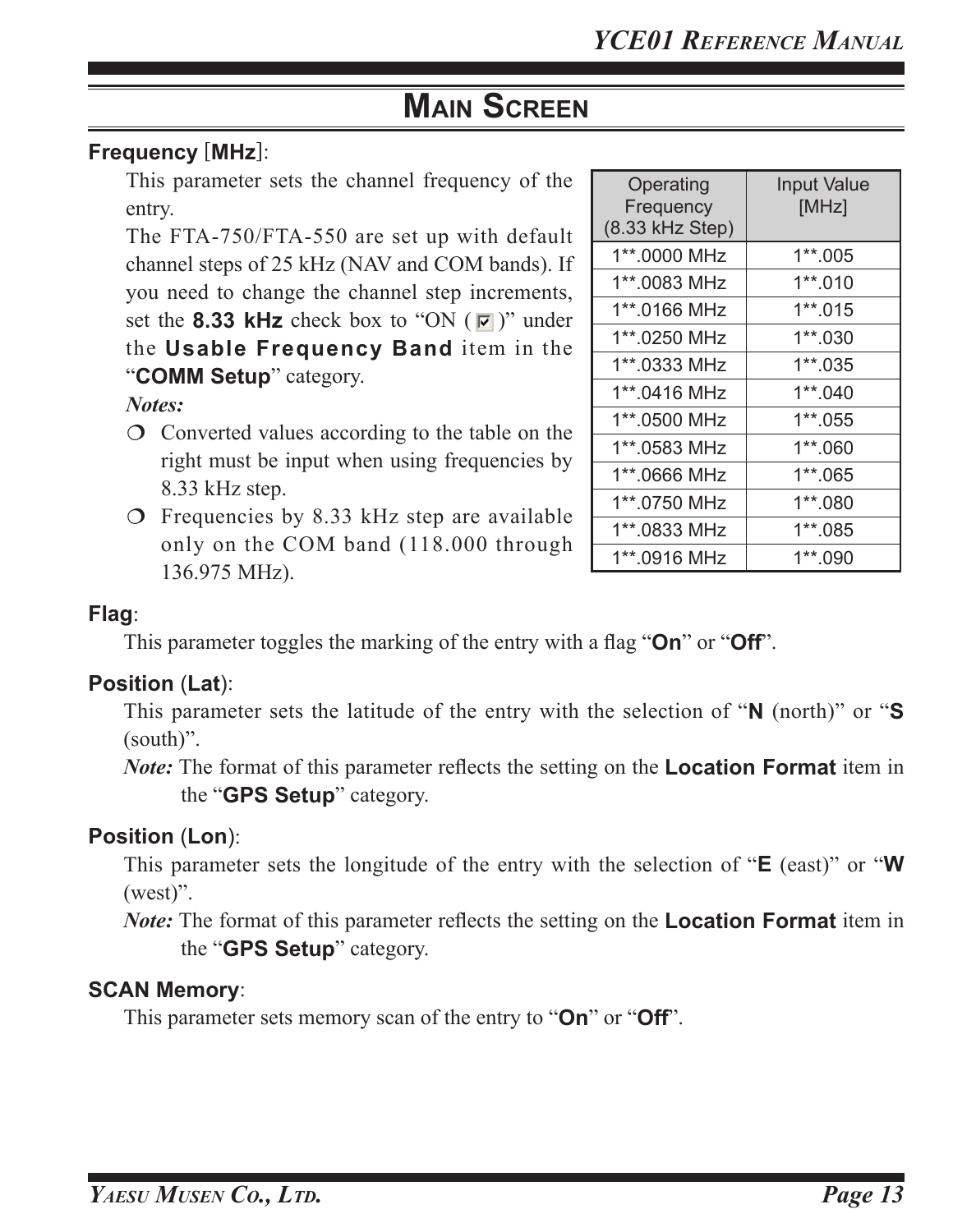#### **Frequency** [**MHz**]:

This parameter sets the channel frequency of the entry.

The FTA-750/FTA-550 are set up with default channel steps of 25 kHz (NAV and COM bands). If you need to change the channel step increments, set the **8.33 kHz** check box to "ON  $(\sqrt{2})$ " under the **Usable Frequency Band** item in the "**COMM Setup**" category.

#### *Notes:*

- Converted values according to the table on the right must be input when using frequencies by 8.33 kHz step.
- $\circ$  Frequencies by 8.33 kHz step are available only on the COM band (118.000 through 136.975 MHz).

| Operating<br>Frequency<br>(8.33 kHz Step) | <b>Input Value</b><br>[MHz] |
|-------------------------------------------|-----------------------------|
| 1**.0000 MHz                              | $1**.005$                   |
| 1**.0083 MHz                              | 1**.010                     |
| 1**.0166 MHz                              | 1**.015                     |
| 1**.0250 MHz                              | 1**.030                     |
| 1**.0333 MHz                              | 1**.035                     |
| 1**.0416 MHz                              | 1**.040                     |
| 1**.0500 MHz                              | 1**.055                     |
| 1**.0583 MHz                              | 1**.060                     |
| 1**.0666 MHz                              | 1**.065                     |
| 1**.0750 MHz                              | 1**.080                     |
| 1**.0833 MHz                              | 1**.085                     |
| 1**.0916 MHz                              | 1**.090                     |

#### **Flag**:

This parameter toggles the marking of the entry with a flag "**On**" or "**Off**".

#### **Position** (**Lat**):

This parameter sets the latitude of the entry with the selection of "**N** (north)" or "**S** (south)".

*Note:* The format of this parameter reflects the setting on the **Location Format** item in the "**GPS Setup**" category.

#### **Position** (**Lon**):

This parameter sets the longitude of the entry with the selection of "**E** (east)" or "**W** (west)".

*Note:* The format of this parameter reflects the setting on the **Location Format** item in the "**GPS Setup**" category.

#### **SCAN Memory**:

This parameter sets memory scan of the entry to "**On**" or "**Off**".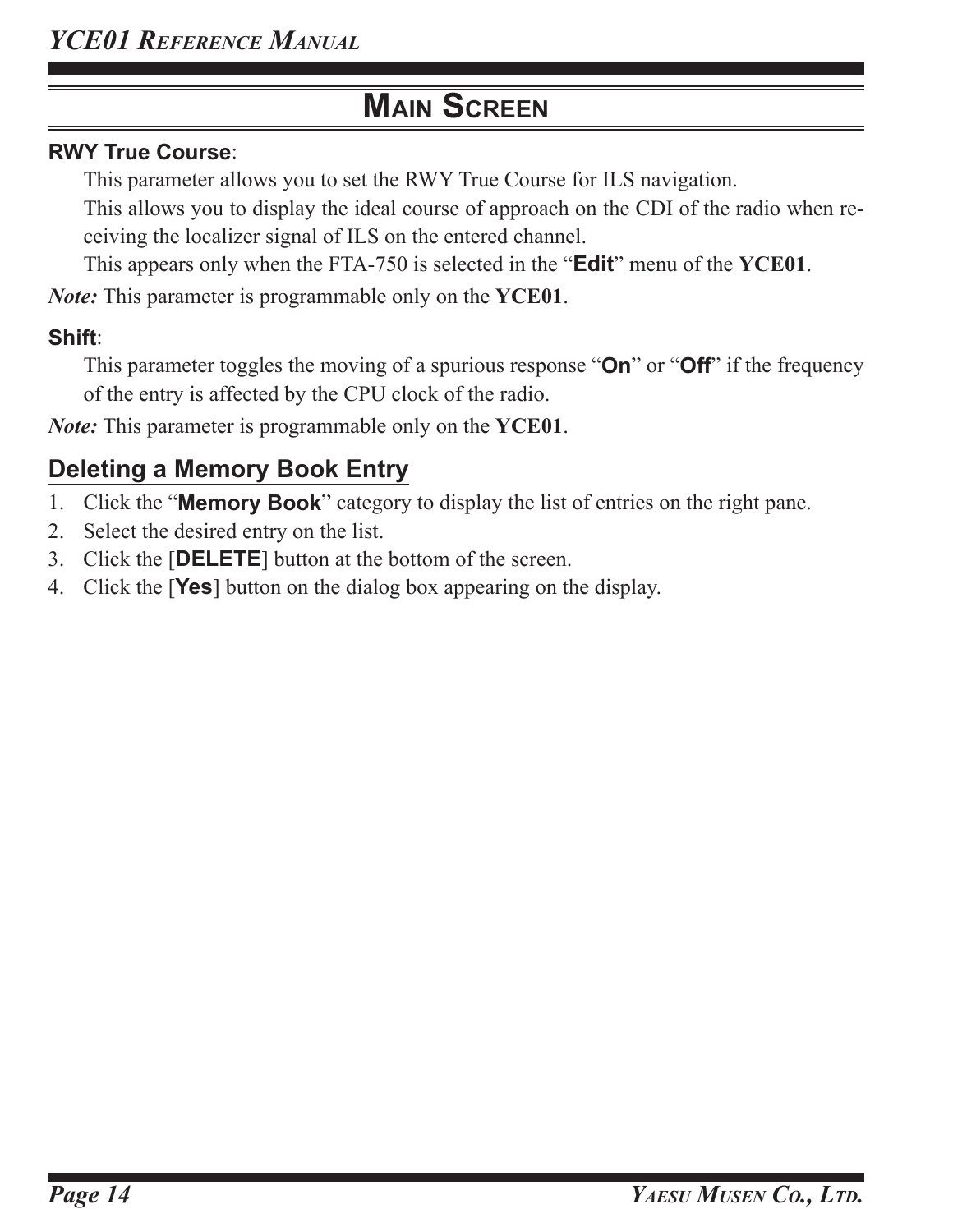#### **RWY True Course**:

This parameter allows you to set the RWY True Course for ILS navigation.

This allows you to display the ideal course of approach on the CDI of the radio when receiving the localizer signal of ILS on the entered channel.

This appears only when the FTA-750 is selected in the "**Edit**" menu of the **YCE01**.

*Note:* This parameter is programmable only on the **YCE01**.

### **Shift**:

This parameter toggles the moving of a spurious response "**On**" or "**Off**" if the frequency of the entry is affected by the CPU clock of the radio.

*Note:* This parameter is programmable only on the **YCE01**.

# **Deleting a Memory Book Entry**

- 1. Click the "**Memory Book**" category to display the list of entries on the right pane.
- 2. Select the desired entry on the list.
- 3. Click the [**DELETE**] button at the bottom of the screen.
- 4. Click the [**Yes**] button on the dialog box appearing on the display.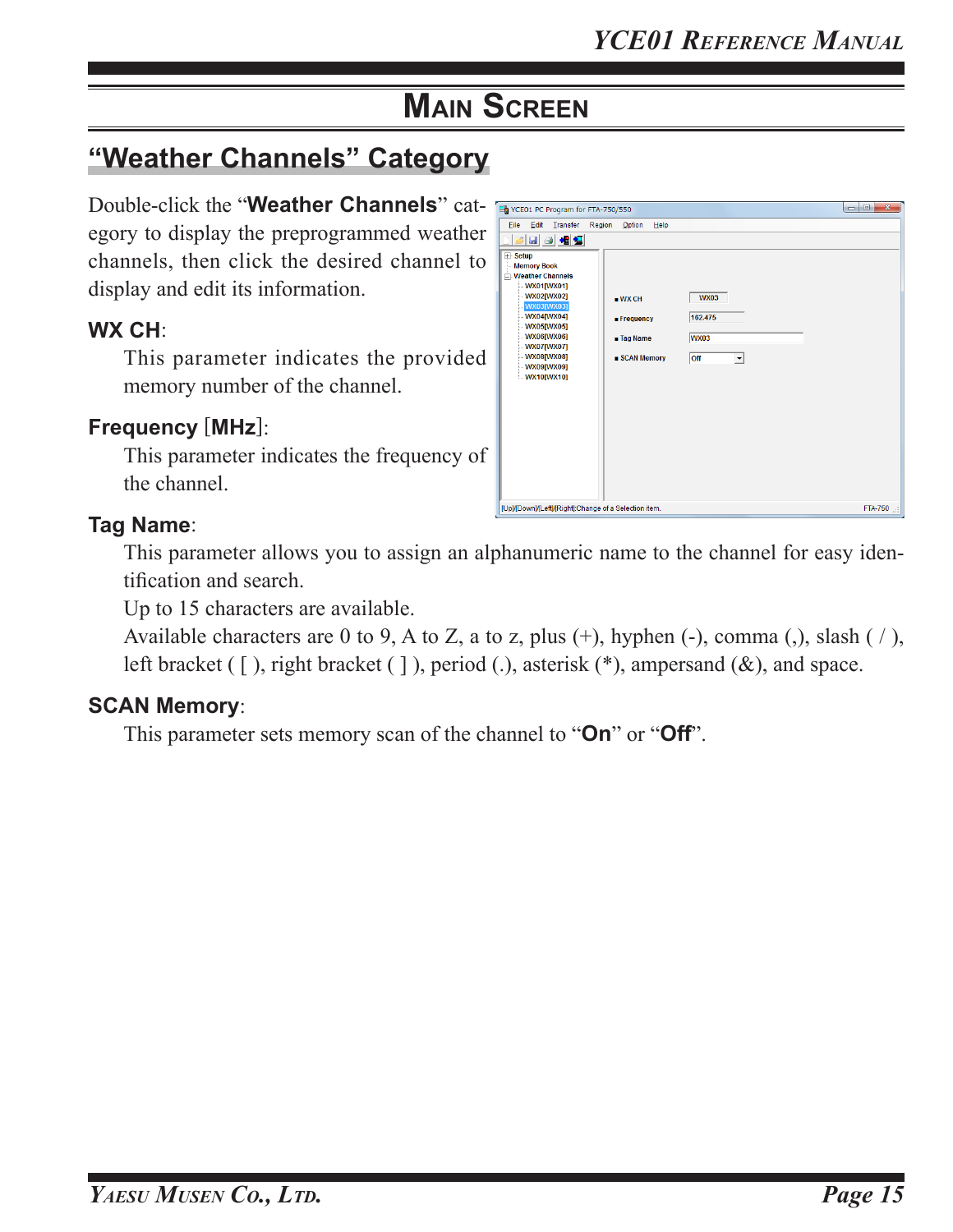# **"Weather Channels" Category**

Double-click the "**Weather Channels**" category to display the preprogrammed weather channels, then click the desired channel to display and edit its information.

#### **WX CH**:

This parameter indicates the provided memory number of the channel.

#### **Frequency** [**MHz**]:

This parameter indicates the frequency of the channel.

#### **Tag Name**:

This parameter allows you to assign an alphanumeric name to the channel for easy identification and search.

Up to 15 characters are available.

Available characters are 0 to 9, A to Z, a to z, plus  $(+)$ , hyphen  $(-)$ , comma  $(,)$ , slash  $(')$ , left bracket ( [ ), right bracket ( ] ), period ( ), asterisk (\*), ampersand (&), and space.

#### **SCAN Memory**:

This parameter sets memory scan of the channel to "**On**" or "**Off**".

| YCE01 PC Program for FTA-750/550                                                                                                                                                                                                                                                    |                                                                           |         |
|-------------------------------------------------------------------------------------------------------------------------------------------------------------------------------------------------------------------------------------------------------------------------------------|---------------------------------------------------------------------------|---------|
| Edit<br>Transfer<br>Region<br>Option<br>File                                                                                                                                                                                                                                        | Help                                                                      |         |
| 日日相复<br>گ                                                                                                                                                                                                                                                                           |                                                                           |         |
| $E$ Setup<br><b>Memory Book</b><br><b>Neather Channels</b><br>$-WX01$ [WX01]<br>WX02[WX02]<br>WXCH<br>WX03[WX03]<br>$-WX04$ [WX04]<br><b>E</b> Frequency<br><b>WX05[WX05]</b><br>$-WX06$ [WX06]<br><b>Tag Name</b><br>$-WX07$ [WX07]<br><b>WX08[WX08]</b><br>WX09[WX09]<br>WX10WX10 | <b>WX03</b><br>162.475<br><b>WX03</b><br>■ SCAN Memory<br><b>Off</b><br>▾ |         |
| [Up]/[Down]/[Left]/[Right]:Change of a Selection item.                                                                                                                                                                                                                              |                                                                           | FTA-750 |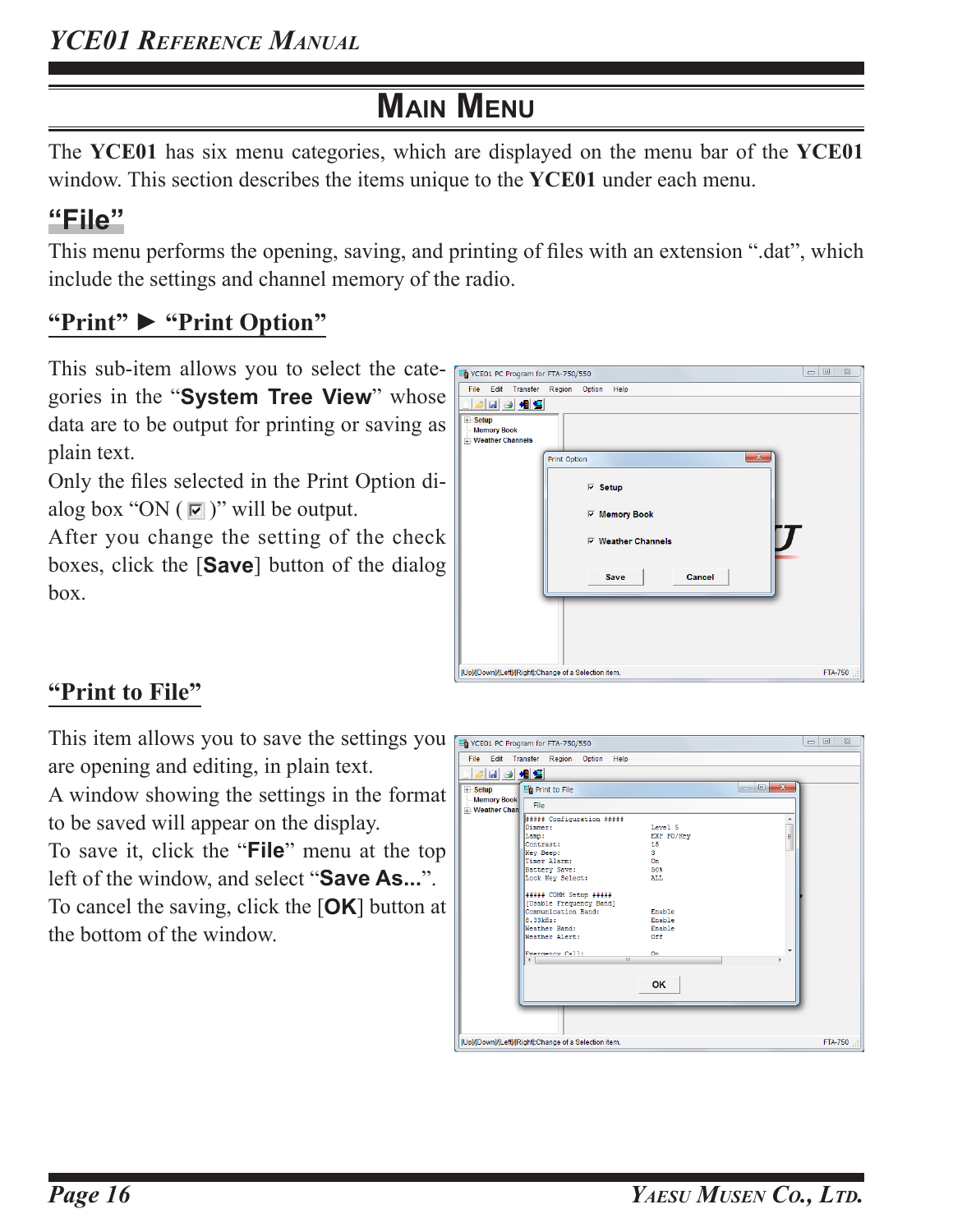The **YCE01** has six menu categories, which are displayed on the menu bar of the **YCE01** window. This section describes the items unique to the **YCE01** under each menu.

# **"File"**

This menu performs the opening, saving, and printing of files with an extension ".dat", which include the settings and channel memory of the radio.

# **"Print" ► "Print Option"**

This sub-item allows you to select the categories in the "**System Tree View**" whose data are to be output for printing or saving as plain text.

Only the files selected in the Print Option dialog box "ON  $(\sqrt{2})$ " will be output.

After you change the setting of the check boxes, click the [**Save**] button of the dialog box.

| 马 YCE01 PC Program for FTA-750/550 |                                                        | $\Sigma$<br>$\Box$ $\Box$ |
|------------------------------------|--------------------------------------------------------|---------------------------|
| File<br>Edit<br>Transfer           | Region<br>Option<br>Help                               |                           |
| <b>BBBB</b>                        |                                                        |                           |
| <b>E</b> Setup                     |                                                        |                           |
| <b>Memory Book</b>                 |                                                        |                           |
| <b>Weather Channels</b>            |                                                        |                           |
|                                    | $\mathbf{x}$<br>Print Option                           |                           |
|                                    |                                                        |                           |
|                                    | $\nabla$ Setup                                         |                           |
|                                    |                                                        |                           |
|                                    | <b><math>⊽</math> Memory Book</b>                      |                           |
|                                    |                                                        |                           |
|                                    | <b>▽ Weather Channels</b>                              |                           |
|                                    |                                                        |                           |
|                                    |                                                        |                           |
|                                    | Cancel<br>Save                                         |                           |
|                                    |                                                        |                           |
|                                    |                                                        |                           |
|                                    |                                                        |                           |
|                                    |                                                        |                           |
|                                    |                                                        |                           |
|                                    |                                                        |                           |
|                                    | [Up]/[Down]/[Left]/[Right]:Change of a Selection item. | FTA-750                   |

### **"Print to File"**

the bottom of the window.

This item allows you to save the settings you are opening and editing, in plain text.

A window showing the settings in the format to be saved will appear on the display.

To save it, click the "**File**" menu at the top left of the window, and select "**Save As...**". To cancel the saving, click the [**OK**] button at

| <b>E</b> Setup        | BBB<br>Print to File       |            | $\mathbf{x}$<br>$\Box$ e |  |
|-----------------------|----------------------------|------------|--------------------------|--|
| <b>Memory Book</b>    | File                       |            |                          |  |
| <b>T</b> Weather Chan |                            |            |                          |  |
|                       | ##### Configuration #####  |            | ۸                        |  |
|                       | Dimmer:                    | Level 5    | $\overline{a}$           |  |
|                       | Lamp:                      | EXP PO/Kev |                          |  |
|                       | Contrast:                  | 15         |                          |  |
|                       | Key Beep:                  | 3          |                          |  |
|                       | Timer Alarm:               | 0n         |                          |  |
|                       | Battery Save:              | 50%        |                          |  |
|                       | Lock Key Select:           | ALL.       |                          |  |
|                       | ##### COMM Setup #####     |            |                          |  |
|                       | [Usable Frequency Band]    |            |                          |  |
|                       | Communication Band:        | Enable     |                          |  |
|                       | 8.33kHz:                   | Enable     |                          |  |
|                       | Weather Band:              | Enable     |                          |  |
|                       | Weather Alert:             | 0ff        |                          |  |
|                       |                            |            |                          |  |
|                       | Emergency Call:            | On         |                          |  |
|                       | $\mathbf{m}$<br>$\epsilon$ |            | ٠                        |  |
|                       |                            |            |                          |  |
|                       |                            | OK         |                          |  |
|                       |                            |            |                          |  |
|                       |                            |            |                          |  |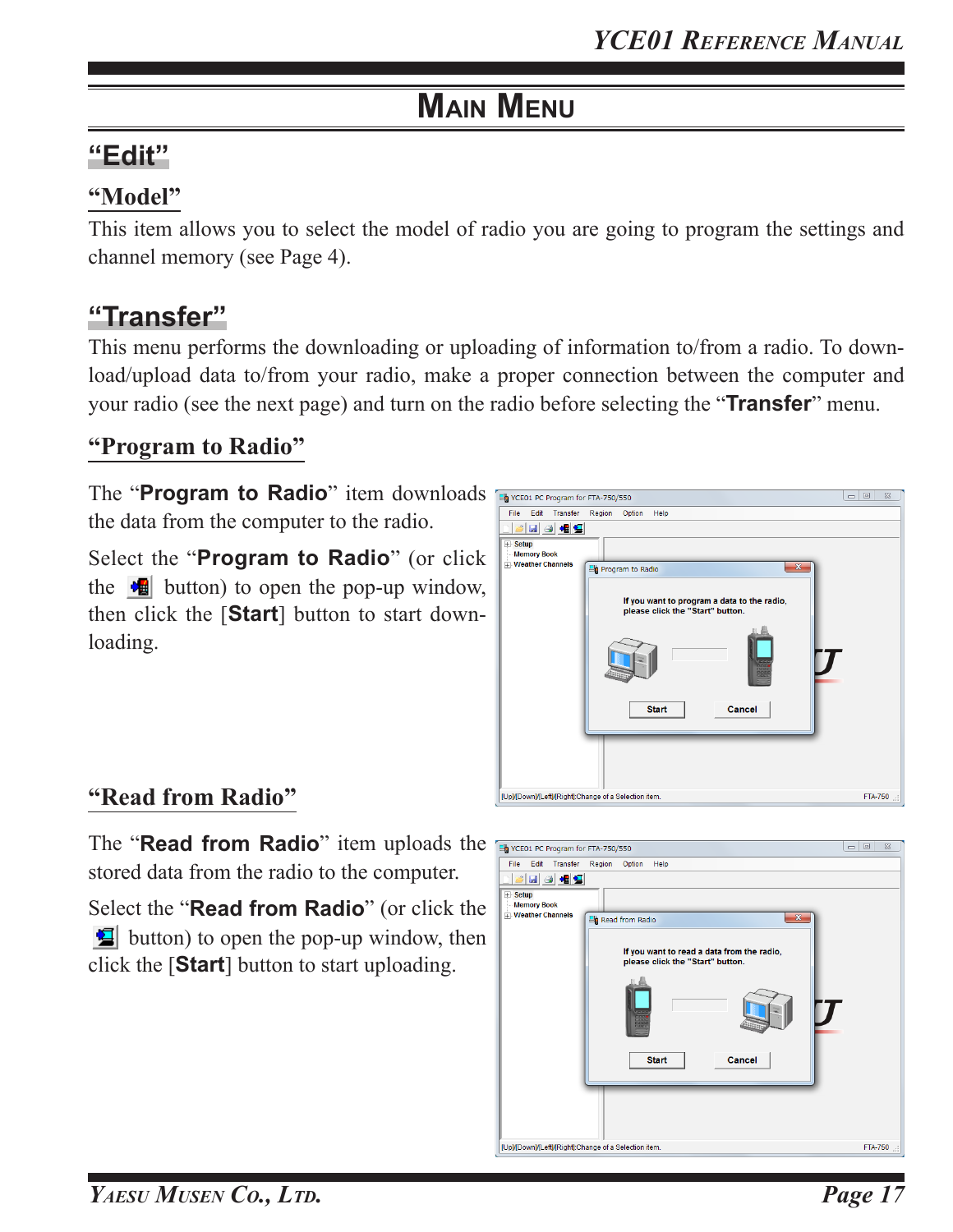# **"Edit"**

### **"Model"**

This item allows you to select the model of radio you are going to program the settings and channel memory (see Page 4).

# **"Transfer"**

This menu performs the downloading or uploading of information to/from a radio. To download/upload data to/from your radio, make a proper connection between the computer and your radio (see the next page) and turn on the radio before selecting the "**Transfer**" menu.

### **"Program to Radio"**

The "**Program to Radio**" item downloads **Final PC Program for FTA-750/550** the data from the computer to the radio.

Select the "**Program to Radio**" (or click the  $\mathbf{u}$  button) to open the pop-up window, then click the [**Start**] button to start downloading.



### **"Read from Radio"**

The "**Read from Radio**" item uploads the Expressive Program for FTA-750/550 stored data from the radio to the computer.

Select the "**Read from Radio**" (or click the button) to open the pop-up window, then click the [**Start**] button to start uploading.

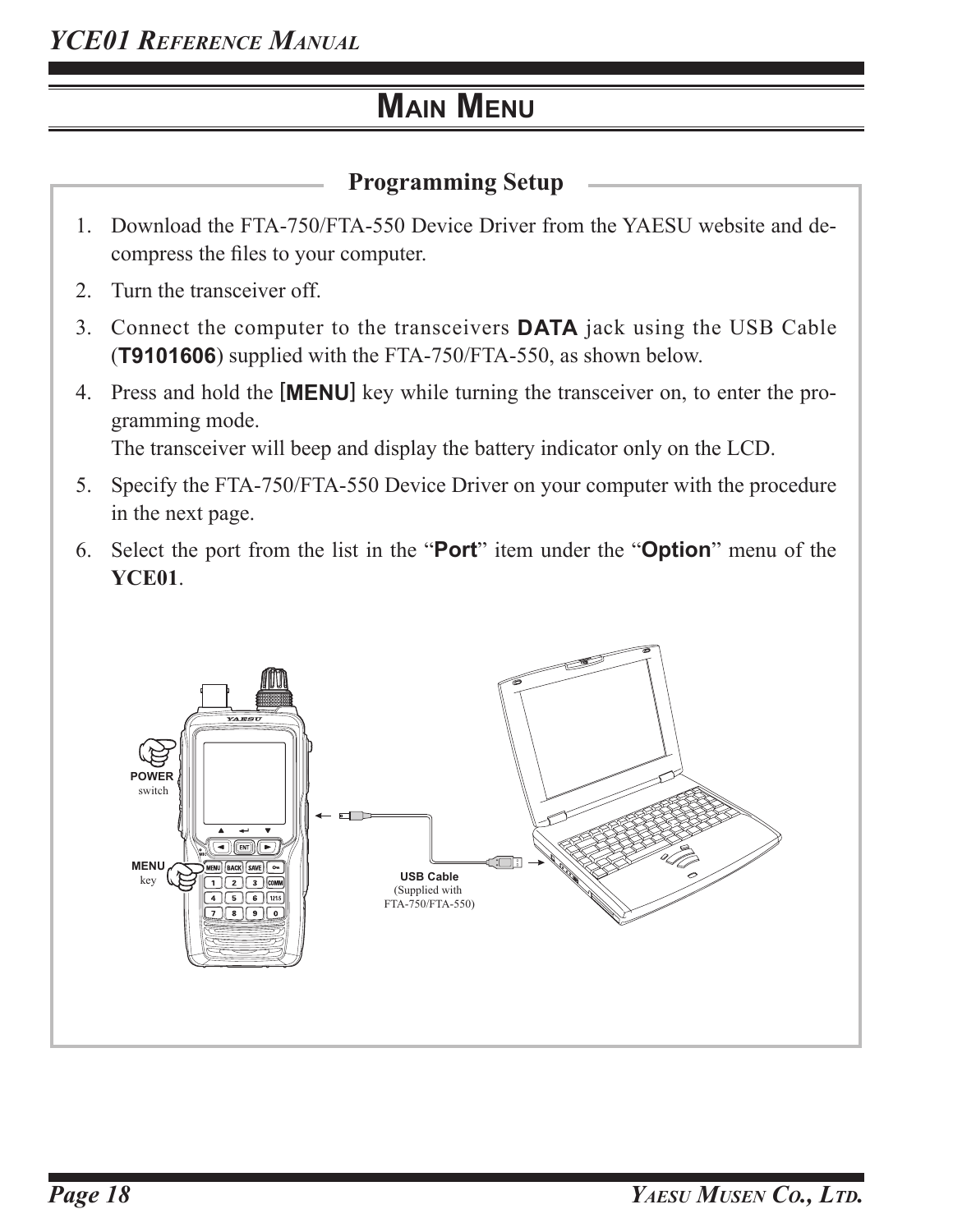### **Programming Setup**

- 1. Download the FTA-750/FTA-550 Device Driver from the YAESU website and decompress the files to your computer.
- 2. Turn the transceiver off.
- 3. Connect the computer to the transceivers **DATA** jack using the USB Cable (**T9101606**) supplied with the FTA-750/FTA-550, as shown below.
- 4. Press and hold the [**MENU**] key while turning the transceiver on, to enter the programming mode. The transceiver will beep and display the battery indicator only on the LCD.
- 5. Specify the FTA-750/FTA-550 Device Driver on your computer with the procedure in the next page.
- 6. Select the port from the list in the "**Port**" item under the "**Option**" menu of the **YCE01**.

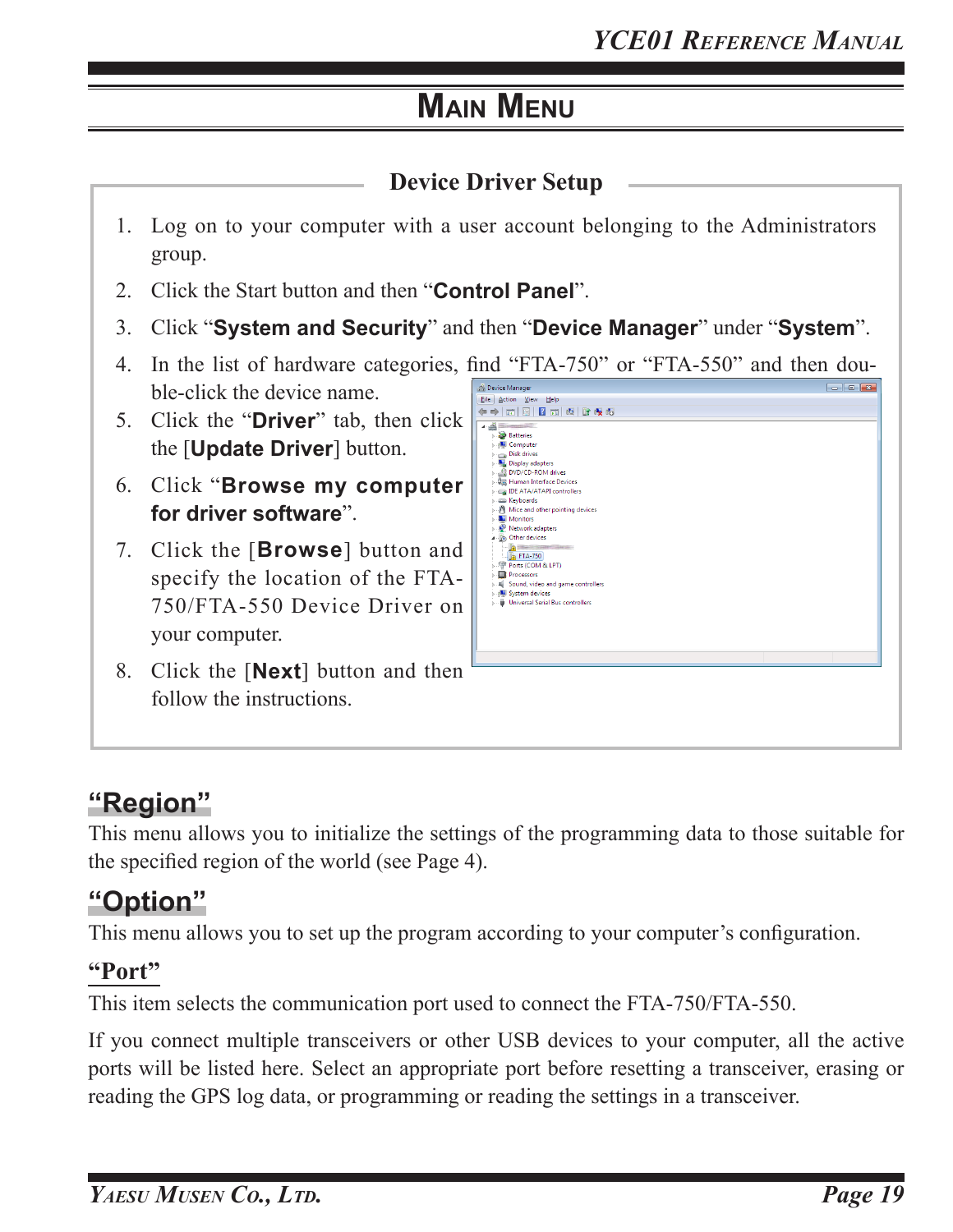

# **"Region"**

This menu allows you to initialize the settings of the programming data to those suitable for the specified region of the world (see Page 4).

# **"Option"**

This menu allows you to set up the program according to your computer's configuration.

### **"Port"**

This item selects the communication port used to connect the FTA-750/FTA-550.

If you connect multiple transceivers or other USB devices to your computer, all the active ports will be listed here. Select an appropriate port before resetting a transceiver, erasing or reading the GPS log data, or programming or reading the settings in a transceiver.